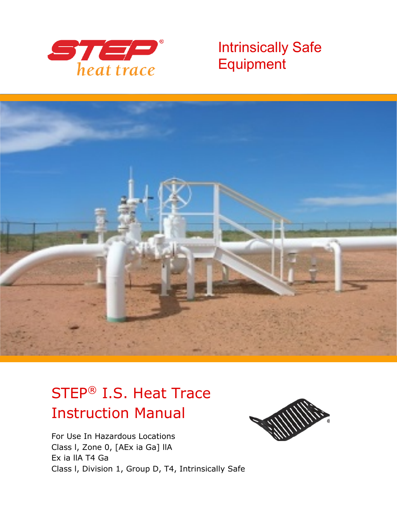

Intrinsically Safe **Equipment** 



# STEP® I.S. Heat Trace Instruction Manual

For Use In Hazardous Locations Class l, Zone 0, [AEx ia Ga] llA Ex ia llA T4 Ga Class l, Division 1, Group D, T4, Intrinsically Safe

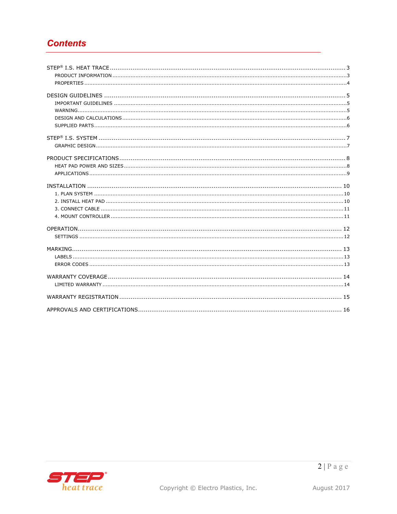# **Contents**

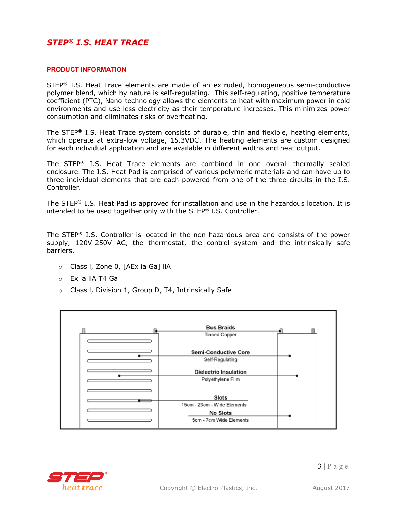## *STEP® I.S. HEAT TRACE*

#### **PRODUCT INFORMATION**

 $STEP<sup>®</sup>$  I.S. Heat Trace elements are made of an extruded, homogeneous semi-conductive polymer blend, which by nature is self-regulating. This self-regulating, positive temperature coefficient (PTC), Nano-technology allows the elements to heat with maximum power in cold environments and use less electricity as their temperature increases. This minimizes power consumption and eliminates risks of overheating.

The STEP<sup>®</sup> I.S. Heat Trace system consists of durable, thin and flexible, heating elements, which operate at extra-low voltage, 15.3VDC. The heating elements are custom designed for each individual application and are available in different widths and heat output.

The STEP® I.S. Heat Trace elements are combined in one overall thermally sealed enclosure. The I.S. Heat Pad is comprised of various polymeric materials and can have up to three individual elements that are each powered from one of the three circuits in the I.S. Controller.

The STEP<sup>®</sup> I.S. Heat Pad is approved for installation and use in the hazardous location. It is intended to be used together only with the STEP® I.S. Controller.

The STEP<sup>®</sup> I.S. Controller is located in the non-hazardous area and consists of the power supply, 120V-250V AC, the thermostat, the control system and the intrinsically safe barriers.

- o Class l, Zone 0, [AEx ia Ga] llA
- o Ex ia llA T4 Ga
- o Class l, Division 1, Group D, T4, Intrinsically Safe



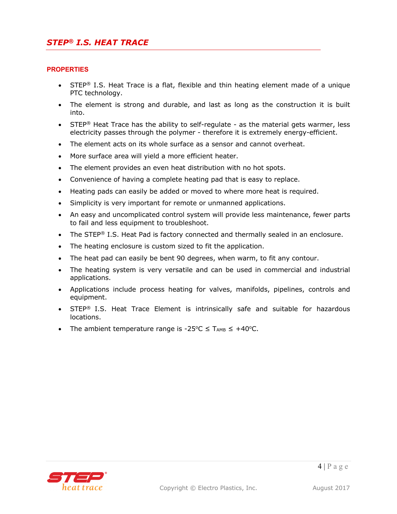#### **PROPERTIES**

- STEP<sup>®</sup> I.S. Heat Trace is a flat, flexible and thin heating element made of a unique PTC technology.
- The element is strong and durable, and last as long as the construction it is built into.
- STEP<sup>®</sup> Heat Trace has the ability to self-regulate as the material gets warmer, less electricity passes through the polymer - therefore it is extremely energy-efficient.
- The element acts on its whole surface as a sensor and cannot overheat.
- More surface area will yield a more efficient heater.
- The element provides an even heat distribution with no hot spots.
- Convenience of having a complete heating pad that is easy to replace.
- Heating pads can easily be added or moved to where more heat is required.
- Simplicity is very important for remote or unmanned applications.
- An easy and uncomplicated control system will provide less maintenance, fewer parts to fail and less equipment to troubleshoot.
- The STEP<sup>®</sup> I.S. Heat Pad is factory connected and thermally sealed in an enclosure.
- The heating enclosure is custom sized to fit the application.
- The heat pad can easily be bent 90 degrees, when warm, to fit any contour.
- The heating system is very versatile and can be used in commercial and industrial applications.
- Applications include process heating for valves, manifolds, pipelines, controls and equipment.
- STEP<sup>®</sup> I.S. Heat Trace Element is intrinsically safe and suitable for hazardous locations.
- The ambient temperature range is -25 °C  $\leq$  T<sub>AMB</sub>  $\leq$  +40 °C.

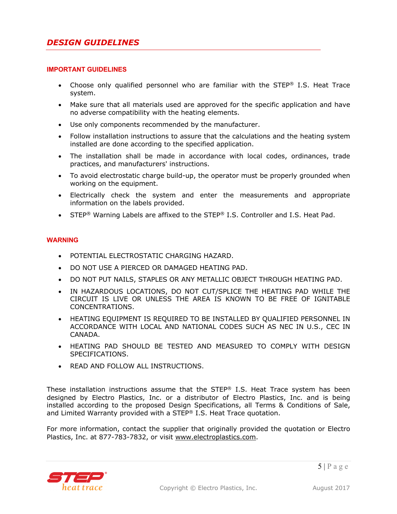#### **IMPORTANT GUIDELINES**

- Choose only qualified personnel who are familiar with the STEP<sup>®</sup> I.S. Heat Trace system.
- Make sure that all materials used are approved for the specific application and have no adverse compatibility with the heating elements.
- Use only components recommended by the manufacturer.
- Follow installation instructions to assure that the calculations and the heating system installed are done according to the specified application.
- The installation shall be made in accordance with local codes, ordinances, trade practices, and manufacturers' instructions.
- To avoid electrostatic charge build-up, the operator must be properly grounded when working on the equipment.
- Electrically check the system and enter the measurements and appropriate information on the labels provided.
- STEP<sup>®</sup> Warning Labels are affixed to the STEP<sup>®</sup> I.S. Controller and I.S. Heat Pad.

## **WARNING**

- POTENTIAL ELECTROSTATIC CHARGING HAZARD.
- DO NOT USE A PIERCED OR DAMAGED HEATING PAD.
- DO NOT PUT NAILS, STAPLES OR ANY METALLIC OBJECT THROUGH HEATING PAD.
- IN HAZARDOUS LOCATIONS, DO NOT CUT/SPLICE THE HEATING PAD WHILE THE CIRCUIT IS LIVE OR UNLESS THE AREA IS KNOWN TO BE FREE OF IGNITABLE CONCENTRATIONS.
- HEATING EQUIPMENT IS REQUIRED TO BE INSTALLED BY QUALIFIED PERSONNEL IN ACCORDANCE WITH LOCAL AND NATIONAL CODES SUCH AS NEC IN U.S., CEC IN CANADA.
- HEATING PAD SHOULD BE TESTED AND MEASURED TO COMPLY WITH DESIGN SPECIFICATIONS.
- READ AND FOLLOW ALL INSTRUCTIONS.

These installation instructions assume that the STEP<sup>®</sup> I.S. Heat Trace system has been designed by Electro Plastics, Inc. or a distributor of Electro Plastics, Inc. and is being installed according to the proposed Design Specifications, all Terms & Conditions of Sale, and Limited Warranty provided with a STEP® I.S. Heat Trace quotation.

For more information, contact the supplier that originally provided the quotation or Electro Plastics, Inc. at 877-783-7832, or visit www.electroplastics.com.

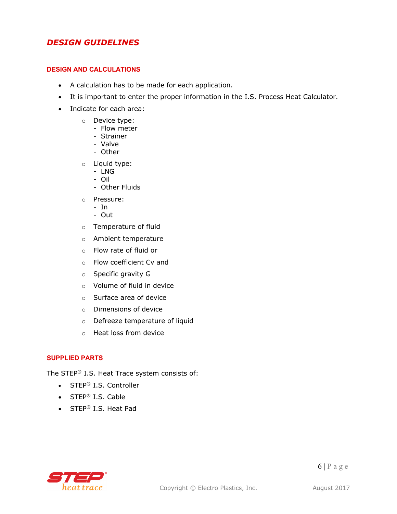## *DESIGN GUIDELINES*

#### **DESIGN AND CALCULATIONS**

- A calculation has to be made for each application.
- It is important to enter the proper information in the I.S. Process Heat Calculator.
- Indicate for each area:
	- o Device type:
		- Flow meter
		- Strainer
		- Valve
		- Other
	- o Liquid type:
		- LNG
		- Oil
		- Other Fluids
	- o Pressure:
		- In
		- Out
	- o Temperature of fluid
	- o Ambient temperature
	- o Flow rate of fluid or
	- o Flow coefficient Cv and
	- o Specific gravity G
	- o Volume of fluid in device
	- o Surface area of device
	- o Dimensions of device
	- o Defreeze temperature of liquid
	- o Heat loss from device

#### **SUPPLIED PARTS**

The STEP® I.S. Heat Trace system consists of:

- STEP<sup>®</sup> I.S. Controller
- STEP® I.S. Cable
- STEP® I.S. Heat Pad

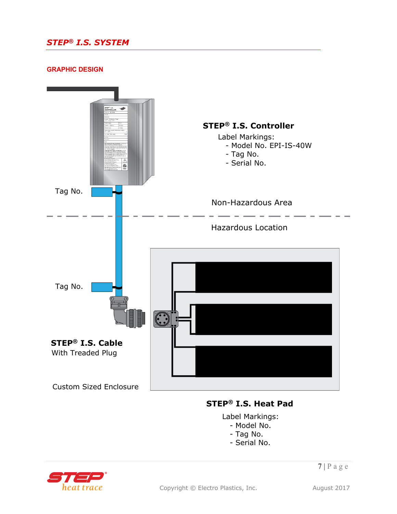# *STEP® I.S. SYSTEM*

#### **GRAPHIC DESIGN**



## **STEP® I.S. Heat Pad**

Label Markings: - Model No.

- Tag No.
- Serial No.



 $7 | P \text{ a } g \text{ e}$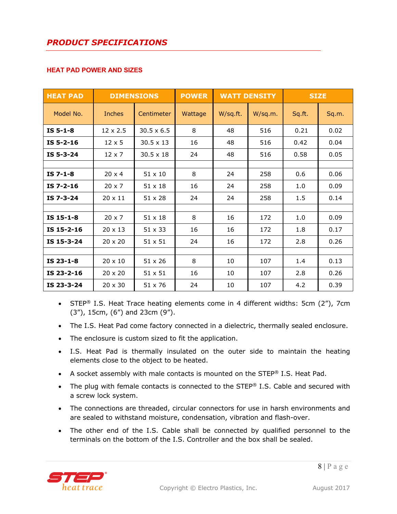#### **HEAT PAD POWER AND SIZES**

| <b>HEAT PAD</b> |                 | <b>DIMENSIONS</b> | <b>POWER</b> | <b>WATT DENSITY</b> |         | <b>SIZE</b> |       |
|-----------------|-----------------|-------------------|--------------|---------------------|---------|-------------|-------|
| Model No.       | <b>Inches</b>   | Centimeter        | Wattage      | W/sq.ft.            | W/sq.m. | Sq.ft.      | Sq.m. |
| $IS5-1-8$       | $12 \times 2.5$ | $30.5 \times 6.5$ | 8            | 48                  | 516     | 0.21        | 0.02  |
| $IS5-2-16$      | $12 \times 5$   | $30.5 \times 13$  | 16           | 48                  | 516     | 0.42        | 0.04  |
| $IS5-3-24$      | $12 \times 7$   | $30.5 \times 18$  | 24           | 48                  | 516     | 0.58        | 0.05  |
|                 |                 |                   |              |                     |         |             |       |
| $IS$ 7-1-8      | $20 \times 4$   | $51 \times 10$    | 8            | 24                  | 258     | 0.6         | 0.06  |
| $IS 7-2-16$     | $20 \times 7$   | $51 \times 18$    | 16           | 24                  | 258     | 1.0         | 0.09  |
| IS 7-3-24       | $20 \times 11$  | $51 \times 28$    | 24           | 24                  | 258     | 1.5         | 0.14  |
|                 |                 |                   |              |                     |         |             |       |
| IS 15-1-8       | $20 \times 7$   | $51 \times 18$    | 8            | 16                  | 172     | 1.0         | 0.09  |
| IS 15-2-16      | $20 \times 13$  | $51 \times 33$    | 16           | 16                  | 172     | 1.8         | 0.17  |
| IS 15-3-24      | $20 \times 20$  | $51 \times 51$    | 24           | 16                  | 172     | 2.8         | 0.26  |
|                 |                 |                   |              |                     |         |             |       |
| IS 23-1-8       | $20 \times 10$  | $51 \times 26$    | 8            | 10                  | 107     | 1.4         | 0.13  |
| IS 23-2-16      | $20 \times 20$  | 51 x 51           | 16           | 10                  | 107     | 2.8         | 0.26  |
| IS 23-3-24      | $20 \times 30$  | 51 x 76           | 24           | 10                  | 107     | 4.2         | 0.39  |

- STEP<sup>®</sup> I.S. Heat Trace heating elements come in 4 different widths: 5cm (2"), 7cm (3"), 15cm, (6") and 23cm (9").
- The I.S. Heat Pad come factory connected in a dielectric, thermally sealed enclosure.
- The enclosure is custom sized to fit the application.
- I.S. Heat Pad is thermally insulated on the outer side to maintain the heating elements close to the object to be heated.
- A socket assembly with male contacts is mounted on the STEP® I.S. Heat Pad.
- The plug with female contacts is connected to the STEP® I.S. Cable and secured with a screw lock system.
- The connections are threaded, circular connectors for use in harsh environments and are sealed to withstand moisture, condensation, vibration and flash-over.
- The other end of the I.S. Cable shall be connected by qualified personnel to the terminals on the bottom of the I.S. Controller and the box shall be sealed.

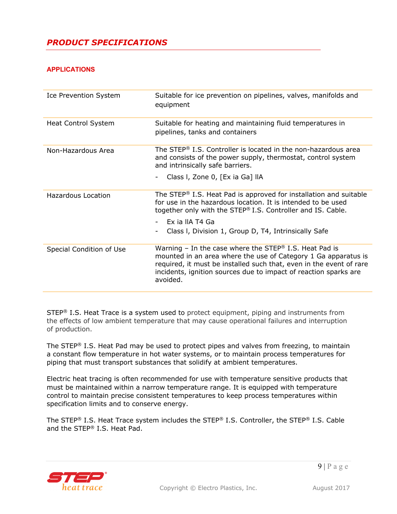# *PRODUCT SPECIFICATIONS*

## **APPLICATIONS**

| <b>Ice Prevention System</b> | Suitable for ice prevention on pipelines, valves, manifolds and<br>equipment                                                                                                                                                                                                                |
|------------------------------|---------------------------------------------------------------------------------------------------------------------------------------------------------------------------------------------------------------------------------------------------------------------------------------------|
| <b>Heat Control System</b>   | Suitable for heating and maintaining fluid temperatures in<br>pipelines, tanks and containers                                                                                                                                                                                               |
| Non-Hazardous Area           | The STEP® I.S. Controller is located in the non-hazardous area<br>and consists of the power supply, thermostat, control system<br>and intrinsically safe barriers.                                                                                                                          |
|                              | Class I, Zone 0, [Ex ia Ga] IIA                                                                                                                                                                                                                                                             |
| Hazardous Location           | The STEP <sup>®</sup> I.S. Heat Pad is approved for installation and suitable<br>for use in the hazardous location. It is intended to be used<br>together only with the STEP® I.S. Controller and IS. Cable.                                                                                |
|                              | Ex ja IIA T4 Ga<br>Class I, Division 1, Group D, T4, Intrinsically Safe                                                                                                                                                                                                                     |
| Special Condition of Use     | Warning – In the case where the STEP <sup>®</sup> I.S. Heat Pad is<br>mounted in an area where the use of Category 1 Ga apparatus is<br>required, it must be installed such that, even in the event of rare<br>incidents, ignition sources due to impact of reaction sparks are<br>avoided. |

STEP<sup>®</sup> I.S. Heat Trace is a system used to protect equipment, piping and instruments from the effects of low ambient temperature that may cause operational failures and interruption of production.

The STEP<sup>®</sup> I.S. Heat Pad may be used to protect pipes and valves from freezing, to maintain a constant flow temperature in hot water systems, or to maintain process temperatures for piping that must transport substances that solidify at ambient temperatures.

Electric heat tracing is often recommended for use with temperature sensitive products that must be maintained within a narrow temperature range. It is equipped with temperature control to maintain precise consistent temperatures to keep process temperatures within specification limits and to conserve energy.

The STEP® I.S. Heat Trace system includes the STEP® I.S. Controller, the STEP® I.S. Cable and the STEP® I.S. Heat Pad.

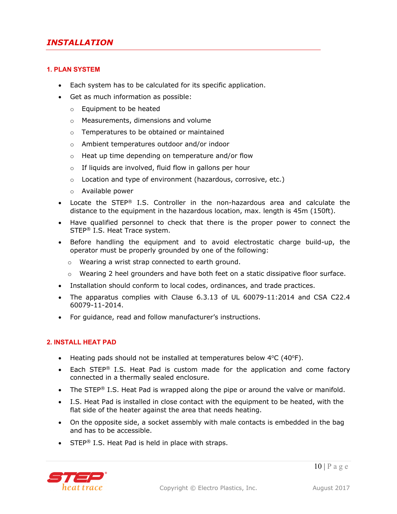#### **1. PLAN SYSTEM**

- Each system has to be calculated for its specific application.
- Get as much information as possible:
	- o Equipment to be heated
	- o Measurements, dimensions and volume
	- o Temperatures to be obtained or maintained
	- o Ambient temperatures outdoor and/or indoor
	- o Heat up time depending on temperature and/or flow
	- o If liquids are involved, fluid flow in gallons per hour
	- o Location and type of environment (hazardous, corrosive, etc.)
	- o Available power
- Locate the STEP® I.S. Controller in the non-hazardous area and calculate the distance to the equipment in the hazardous location, max. length is 45m (150ft).
- Have qualified personnel to check that there is the proper power to connect the STEP® I.S. Heat Trace system.
- Before handling the equipment and to avoid electrostatic charge build-up, the operator must be properly grounded by one of the following:
	- o Wearing a wrist strap connected to earth ground.
	- $\circ$  Wearing 2 heel grounders and have both feet on a static dissipative floor surface.
- Installation should conform to local codes, ordinances, and trade practices.
- The apparatus complies with Clause 6.3.13 of UL 60079-11:2014 and CSA C22.4 60079-11-2014.
- For guidance, read and follow manufacturer's instructions.

#### **2. INSTALL HEAT PAD**

- Heating pads should not be installed at temperatures below  $4^{\circ}C(40^{\circ}F)$ .
- Each STEP<sup>®</sup> I.S. Heat Pad is custom made for the application and come factory connected in a thermally sealed enclosure.
- The STEP<sup>®</sup> I.S. Heat Pad is wrapped along the pipe or around the valve or manifold.
- I.S. Heat Pad is installed in close contact with the equipment to be heated, with the flat side of the heater against the area that needs heating.
- On the opposite side, a socket assembly with male contacts is embedded in the bag and has to be accessible.
- STEP<sup>®</sup> I.S. Heat Pad is held in place with straps.

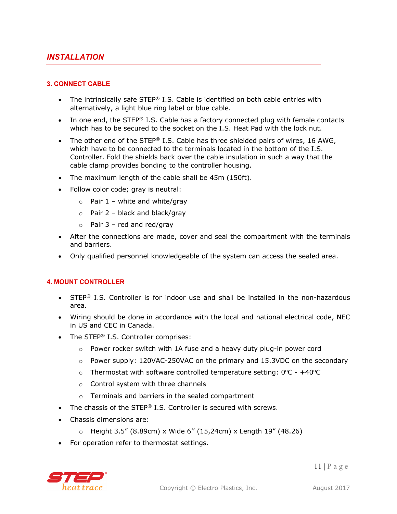## **3. CONNECT CABLE**

- The intrinsically safe STEP® I.S. Cable is identified on both cable entries with alternatively, a light blue ring label or blue cable.
- In one end, the STEP® I.S. Cable has a factory connected plug with female contacts which has to be secured to the socket on the I.S. Heat Pad with the lock nut.
- The other end of the STEP® I.S. Cable has three shielded pairs of wires, 16 AWG, which have to be connected to the terminals located in the bottom of the I.S. Controller. Fold the shields back over the cable insulation in such a way that the cable clamp provides bonding to the controller housing.
- The maximum length of the cable shall be 45m (150ft).
- Follow color code; gray is neutral:
	- $\circ$  Pair 1 white and white/gray
	- $\circ$  Pair 2 black and black/gray
	- $\circ$  Pair 3 red and red/gray
- After the connections are made, cover and seal the compartment with the terminals and barriers.
- Only qualified personnel knowledgeable of the system can access the sealed area.

#### **4. MOUNT CONTROLLER**

- STEP<sup>®</sup> I.S. Controller is for indoor use and shall be installed in the non-hazardous area.
- Wiring should be done in accordance with the local and national electrical code, NEC in US and CEC in Canada.
- The STEP® I.S. Controller comprises:
	- o Power rocker switch with 1A fuse and a heavy duty plug-in power cord
	- o Power supply: 120VAC-250VAC on the primary and 15.3VDC on the secondary
	- o Thermostat with software controlled temperature setting:  $0^{\circ}$ C +40 $^{\circ}$ C
	- o Control system with three channels
	- o Terminals and barriers in the sealed compartment
- The chassis of the STEP® I.S. Controller is secured with screws.
- Chassis dimensions are:
	- o Height 3.5" (8.89cm) x Wide 6'' (15,24cm) x Length 19" (48.26)
- For operation refer to thermostat settings.

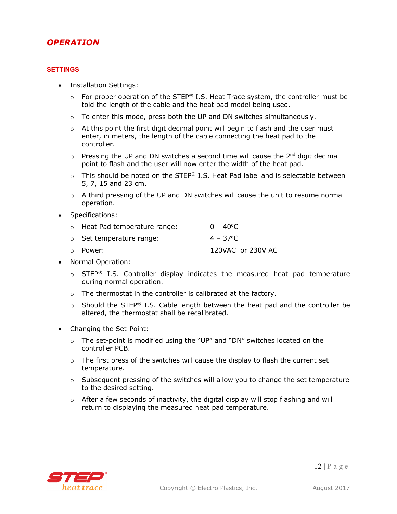#### **SETTINGS**

- Installation Settings:
	- $\circ$  For proper operation of the STEP® I.S. Heat Trace system, the controller must be told the length of the cable and the heat pad model being used.
	- $\circ$  To enter this mode, press both the UP and DN switches simultaneously.
	- $\circ$  At this point the first digit decimal point will begin to flash and the user must enter, in meters, the length of the cable connecting the heat pad to the controller.
	- $\circ$  Pressing the UP and DN switches a second time will cause the 2<sup>nd</sup> digit decimal point to flash and the user will now enter the width of the heat pad.
	- $\circ$  This should be noted on the STEP® I.S. Heat Pad label and is selectable between 5, 7, 15 and 23 cm.
	- $\circ$  A third pressing of the UP and DN switches will cause the unit to resume normal operation.
- Specifications:

| o Heat Pad temperature range:  | $0 - 40^{\circ}$ C |
|--------------------------------|--------------------|
| $\circ$ Set temperature range: | $4 - 37^{\circ}$ C |
| 。 Power:                       | 120VAC or 230V AC  |

- Normal Operation:
	- $\circ$  STEP<sup>®</sup> I.S. Controller display indicates the measured heat pad temperature during normal operation.
	- o The thermostat in the controller is calibrated at the factory.
	- $\circ$  Should the STEP® I.S. Cable length between the heat pad and the controller be altered, the thermostat shall be recalibrated.
- Changing the Set-Point:
	- $\circ$  The set-point is modified using the "UP" and "DN" switches located on the controller PCB.
	- o The first press of the switches will cause the display to flash the current set temperature.
	- $\circ$  Subsequent pressing of the switches will allow you to change the set temperature to the desired setting.
	- $\circ$  After a few seconds of inactivity, the digital display will stop flashing and will return to displaying the measured heat pad temperature.

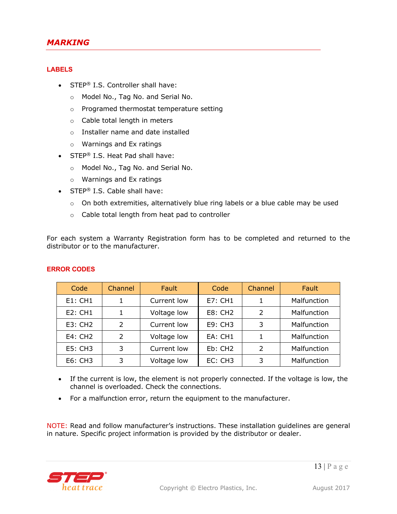## *MARKING*

#### **LABELS**

- STEP<sup>®</sup> I.S. Controller shall have:
	- o Model No., Tag No. and Serial No.
	- o Programed thermostat temperature setting
	- o Cable total length in meters
	- o Installer name and date installed
	- o Warnings and Ex ratings
- STEP<sup>®</sup> I.S. Heat Pad shall have:
	- o Model No., Tag No. and Serial No.
	- o Warnings and Ex ratings
- STEP<sup>®</sup> I.S. Cable shall have:
	- o On both extremities, alternatively blue ring labels or a blue cable may be used
	- o Cable total length from heat pad to controller

For each system a Warranty Registration form has to be completed and returned to the distributor or to the manufacturer.

| Code                | Channel       | Fault       | Code                | Channel        | <b>Fault</b> |
|---------------------|---------------|-------------|---------------------|----------------|--------------|
| E1:CH1              |               | Current low | <b>E7: CH1</b>      |                | Malfunction  |
| <b>E2: CH1</b>      |               | Voltage low | <b>E8: CH2</b>      | $\mathcal{P}$  | Malfunction  |
| E3: CH <sub>2</sub> | $\mathcal{P}$ | Current low | E9: CH3             | 3              | Malfunction  |
| E4: CH2             | 2             | Voltage low | EA: CH1             |                | Malfunction  |
| <b>E5: CH3</b>      | 3             | Current low | Eb: CH <sub>2</sub> | $\overline{2}$ | Malfunction  |
| E6: CH3             | 3             | Voltage low | EC: CH3<br>3        |                | Malfunction  |

#### **ERROR CODES**

- If the current is low, the element is not properly connected. If the voltage is low, the channel is overloaded. Check the connections.
- For a malfunction error, return the equipment to the manufacturer.

NOTE: Read and follow manufacturer's instructions. These installation guidelines are general in nature. Specific project information is provided by the distributor or dealer.

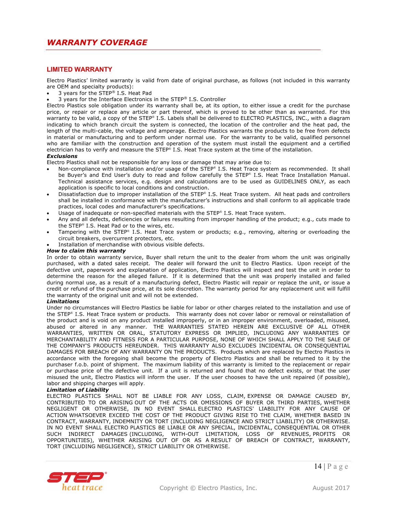#### **LIMITED WARRANTY**

Electro Plastics' limited warranty is valid from date of original purchase, as follows (not included in this warranty are OEM and specialty products):

- 3 years for the STEP® I.S. Heat Pad
- 3 years for the Interface Electronics in the STEP® I.S. Controller

Electro Plastics sole obligation under its warranty shall be, at its option, to either issue a credit for the purchase price, or repair or replace any article or part thereof, which is proved to be other than as warranted. For this warranty to be valid, a copy of the STEP® I.S. Labels shall be delivered to ELECTRO PLASTICS, INC., with a diagram indicating to which branch circuit the system is connected, the location of the controller and the heat pad, the length of the multi-cable, the voltage and amperage. Electro Plastics warrants the products to be free from defects in material or manufacturing and to perform under normal use. For the warranty to be valid, qualified personnel who are familiar with the construction and operation of the system must install the equipment and a certified electrician has to verify and measure the STEP® I.S. Heat Trace system at the time of the installation.

#### *Exclusions*

Electro Plastics shall not be responsible for any loss or damage that may arise due to:

- Non-compliance with installation and/or usage of the STEP® I.S. Heat Trace system as recommended. It shall be Buyer's and End User's duty to read and follow carefully the STEP® I.S. Heat Trace Installation Manual. Technical assistance services, e.g. design and calculations are to be used as GUIDELINES ONLY, as each application is specific to local conditions and construction.
- Dissatisfaction due to improper installation of the STEP® I.S. Heat Trace system. All heat pads and controllers shall be installed in conformance with the manufacturer's instructions and shall conform to all applicable trade practices, local codes and manufacturer's specifications.
- Usage of inadequate or non-specified materials with the STEP® I.S. Heat Trace system.
- Any and all defects, deficiencies or failures resulting from improper handling of the product; e.g., cuts made to the STEP® I.S. Heat Pad or to the wires, etc.
- Tampering with the STEP® I.S. Heat Trace system or products; e.g., removing, altering or overloading the circuit breakers, overcurrent protectors, etc.
- Installation of merchandise with obvious visible defects.

#### *How to claim this warranty*

In order to obtain warranty service, Buyer shall return the unit to the dealer from whom the unit was originally purchased, with a dated sales receipt. The dealer will forward the unit to Electro Plastics. Upon receipt of the defective unit, paperwork and explanation of application, Electro Plastics will inspect and test the unit in order to determine the reason for the alleged failure. If it is determined that the unit was properly installed and failed during normal use, as a result of a manufacturing defect, Electro Plastic will repair or replace the unit, or issue a credit or refund of the purchase price, at its sole discretion. The warranty period for any replacement unit will fulfill the warranty of the original unit and will not be extended.

#### *Limitations*

Under no circumstances will Electro Plastics be liable for labor or other charges related to the installation and use of the STEP® I.S. Heat Trace system or products. This warranty does not cover labor or removal or reinstallation of the product and is void on any product installed improperly, or in an improper environment, overloaded, misused, abused or altered in any manner. THE WARRANTIES STATED HEREIN ARE EXCLUSIVE OF ALL OTHER WARRANTIES, WRITTEN OR ORAL, STATUTORY EXPRESS OR IMPLIED, INCLUDING ANY WARRANTIES OF MERCHANTABILITY AND FITNESS FOR A PARTICULAR PURPOSE, NONE OF WHICH SHALL APPLY TO THE SALE OF THE COMPANY'S PRODUCTS HEREUNDER. THIS WARRANTY ALSO EXCLUDES INCIDENTAL OR CONSEQUENTIAL DAMAGES FOR BREACH OF ANY WARRANTY ON THE PRODUCTS. Products which are replaced by Electro Plastics in accordance with the foregoing shall become the property of Electro Plastics and shall be returned to it by the purchaser f.o.b. point of shipment. The maximum liability of this warranty is limited to the replacement or repair or purchase price of the defective unit. If a unit is returned and found that no defect exists, or that the user misused the unit, Electro Plastics will inform the user. If the user chooses to have the unit repaired (if possible), labor and shipping charges will apply.

#### *Limitation of Liability*

ELECTRO PLASTICS SHALL NOT BE LIABLE FOR ANY LOSS, CLAIM, EXPENSE OR DAMAGE CAUSED BY, CONTRIBUTED TO OR ARISING OUT OF THE ACTS OR OMISSIONS OF BUYER OR THIRD PARTIES, WHETHER NEGLIGENT OR OTHERWISE, IN NO EVENT SHALL ELECTRO PLASTICS' LIABILITY FOR ANY CAUSE OF ACTION WHATSOEVER EXCEED THE COST OF THE PRODUCT GIVING RISE TO THE CLAIM, WHETHER BASED IN CONTRACT, WARRANTY, INDEMNITY OR TORT (INCLUDING NEGLIGENCE AND STRICT LIABILITY) OR OTHERWISE. IN NO EVENT SHALL ELECTRO PLASTICS BE LIABLE OR ANY SPECIAL, INCIDENTAL, CONSEQUENTIAL OR OTHER SUCH INDIRECT DAMAGES (INCLUDING, WITH-OUT LIMITATION, LOSS OF REVENUES, PROFITS OR OPPORTUNITIES), WHETHER ARISING OUT OF OR AS A RESULT OF BREACH OF CONTRACT, WARRANTY, TORT (INCLUDING NEGLIGENCE), STRICT LIABILITY OR OTHERWISE.

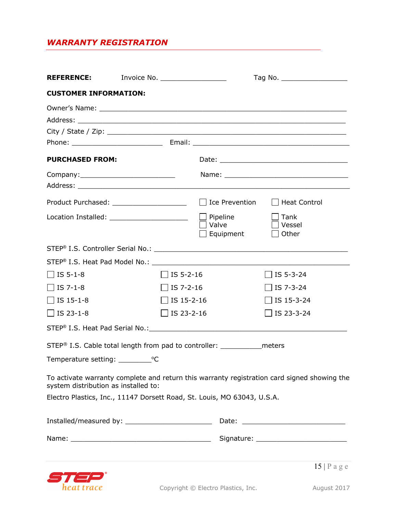# *WARRANTY REGISTRATION*

| <b>REFERENCE:</b>                    | Invoice No. _____________________            |                                                                                         | Tag No. ______________________                                                              |  |  |
|--------------------------------------|----------------------------------------------|-----------------------------------------------------------------------------------------|---------------------------------------------------------------------------------------------|--|--|
| <b>CUSTOMER INFORMATION:</b>         |                                              |                                                                                         |                                                                                             |  |  |
|                                      |                                              |                                                                                         |                                                                                             |  |  |
| <b>PURCHASED FROM:</b>               |                                              |                                                                                         |                                                                                             |  |  |
|                                      |                                              |                                                                                         |                                                                                             |  |  |
|                                      |                                              |                                                                                         | $\Box$ Heat Control                                                                         |  |  |
|                                      | Location Installed: ________________________ | $\Box$ Pipeline<br>$\Box$ Valve<br>Equipment                                            | $\vert$ Tank<br>Vessel<br>$\Box$ Other                                                      |  |  |
|                                      |                                              |                                                                                         |                                                                                             |  |  |
|                                      |                                              |                                                                                         |                                                                                             |  |  |
| $\Box$ IS 5-1-8                      | $\Box$ IS 5-2-16                             |                                                                                         | $\Box$ IS 5-3-24                                                                            |  |  |
| $\Box$ IS 7-1-8                      | $\Box$ IS 7-2-16                             |                                                                                         | $\Box$ IS 7-3-24                                                                            |  |  |
| $\Box$ IS 15-1-8                     | $\Box$ IS 15-2-16                            |                                                                                         | $\Box$ IS 15-3-24                                                                           |  |  |
| $\Box$ IS 23-1-8                     | $\Box$ IS 23-2-16                            |                                                                                         | $\Box$ IS 23-3-24                                                                           |  |  |
|                                      |                                              |                                                                                         |                                                                                             |  |  |
|                                      |                                              | STEP <sup>®</sup> I.S. Cable total length from pad to controller: _______________meters |                                                                                             |  |  |
|                                      |                                              |                                                                                         |                                                                                             |  |  |
| system distribution as installed to: |                                              |                                                                                         | To activate warranty complete and return this warranty registration card signed showing the |  |  |
|                                      |                                              | Electro Plastics, Inc., 11147 Dorsett Road, St. Louis, MO 63043, U.S.A.                 |                                                                                             |  |  |
|                                      |                                              |                                                                                         |                                                                                             |  |  |
|                                      |                                              |                                                                                         |                                                                                             |  |  |
|                                      |                                              |                                                                                         | $15   P \text{ a } g \text{ e}$                                                             |  |  |